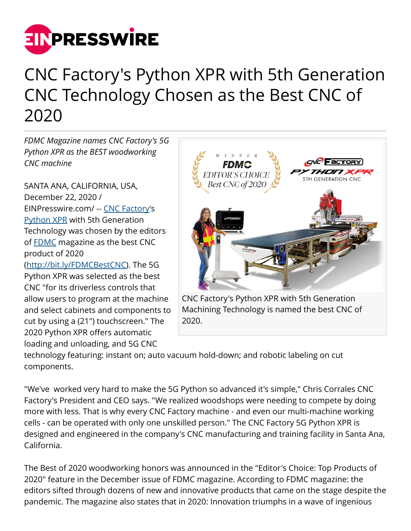

## CNC Factory's Python XPR with 5th Generation CNC Technology Chosen as the Best CNC of 2020

*FDMC Magazine names CNC Factory's 5G Python XPR as the BEST woodworking CNC machine*

SANTA ANA, CALIFORNIA, USA, December 22, 2020 / [EINPresswire.com](http://www.einpresswire.com)/ -- [CNC Factory](http://www.cncfactory.com)'s [Python XPR](http://bit.ly/PythonXPR) with 5th Generation Technology was chosen by the editors of [FDMC](http://bit.ly/FDMCBestCNC) magazine as the best CNC product of 2020 ([http://bit.ly/FDMCBestCNC\)](http://bit.ly/FDMCBestCNC). The 5G Python XPR was selected as the best CNC "for its driverless controls that

allow users to program at the machine and select cabinets and components to cut by using a (21") touchscreen." The 2020 Python XPR offers automatic loading and unloading, and 5G CNC



CNC Factory's Python XPR with 5th Generation Machining Technology is named the best CNC of 2020.

technology featuring: instant on; auto vacuum hold-down; and robotic labeling on cut components.

"We've worked very hard to make the 5G Python so advanced it's simple," Chris Corrales CNC Factory's President and CEO says. "We realized woodshops were needing to compete by doing more with less. That is why every CNC Factory machine - and even our multi-machine working cells - can be operated with only one unskilled person." The CNC Factory 5G Python XPR is designed and engineered in the company's CNC manufacturing and training facility in Santa Ana, California.

The Best of 2020 woodworking honors was announced in the "Editor's Choice: Top Products of 2020" feature in the December issue of FDMC magazine. According to FDMC magazine: the editors sifted through dozens of new and innovative products that came on the stage despite the pandemic. The magazine also states that in 2020: Innovation triumphs in a wave of ingenious